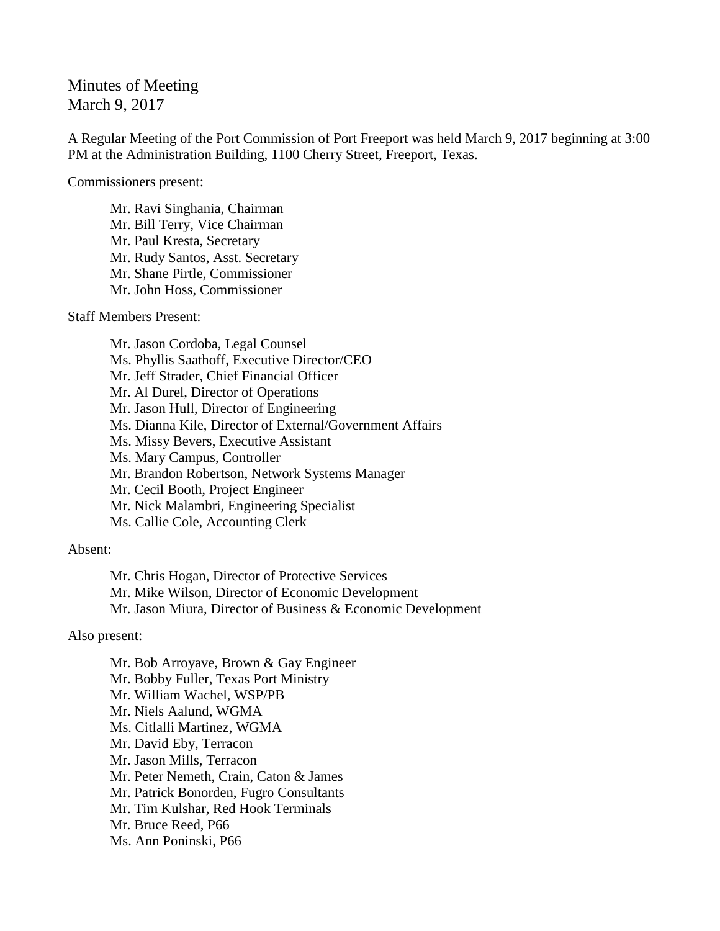Minutes of Meeting March 9, 2017

A Regular Meeting of the Port Commission of Port Freeport was held March 9, 2017 beginning at 3:00 PM at the Administration Building, 1100 Cherry Street, Freeport, Texas.

Commissioners present:

Mr. Ravi Singhania, Chairman Mr. Bill Terry, Vice Chairman Mr. Paul Kresta, Secretary Mr. Rudy Santos, Asst. Secretary Mr. Shane Pirtle, Commissioner Mr. John Hoss, Commissioner

Staff Members Present:

Mr. Jason Cordoba, Legal Counsel Ms. Phyllis Saathoff, Executive Director/CEO Mr. Jeff Strader, Chief Financial Officer Mr. Al Durel, Director of Operations Mr. Jason Hull, Director of Engineering Ms. Dianna Kile, Director of External/Government Affairs Ms. Missy Bevers, Executive Assistant Ms. Mary Campus, Controller Mr. Brandon Robertson, Network Systems Manager Mr. Cecil Booth, Project Engineer Mr. Nick Malambri, Engineering Specialist Ms. Callie Cole, Accounting Clerk

Absent:

Mr. Chris Hogan, Director of Protective Services Mr. Mike Wilson, Director of Economic Development Mr. Jason Miura, Director of Business & Economic Development

Also present:

Mr. Bob Arroyave, Brown & Gay Engineer Mr. Bobby Fuller, Texas Port Ministry Mr. William Wachel, WSP/PB Mr. Niels Aalund, WGMA Ms. Citlalli Martinez, WGMA Mr. David Eby, Terracon Mr. Jason Mills, Terracon Mr. Peter Nemeth, Crain, Caton & James Mr. Patrick Bonorden, Fugro Consultants Mr. Tim Kulshar, Red Hook Terminals Mr. Bruce Reed, P66 Ms. Ann Poninski, P66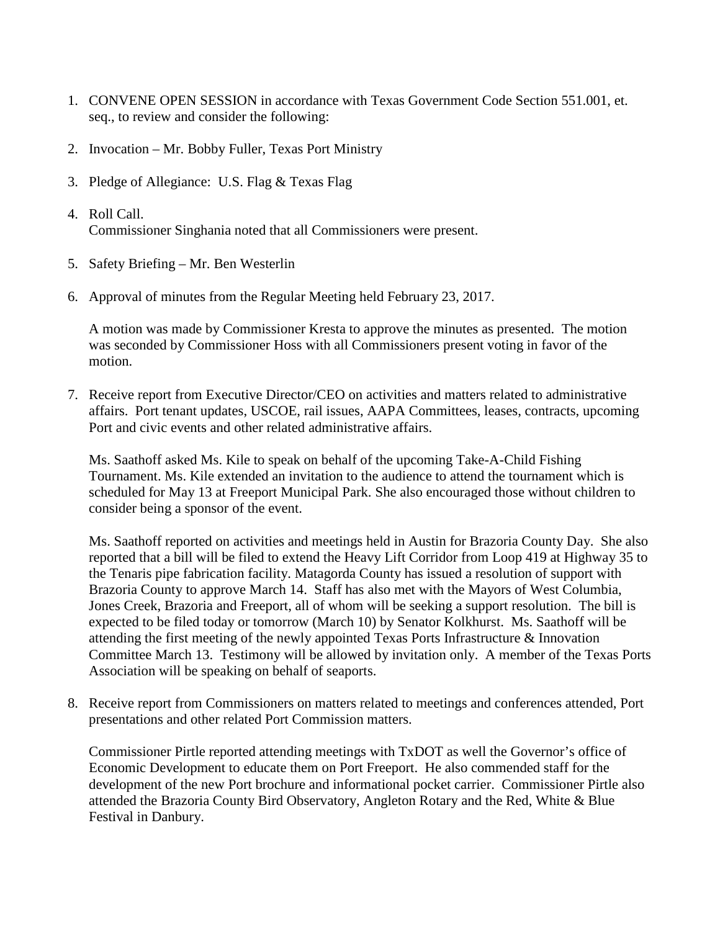- 1. CONVENE OPEN SESSION in accordance with Texas Government Code Section 551.001, et. seq., to review and consider the following:
- 2. Invocation Mr. Bobby Fuller, Texas Port Ministry
- 3. Pledge of Allegiance: U.S. Flag & Texas Flag
- 4. Roll Call. Commissioner Singhania noted that all Commissioners were present.
- 5. Safety Briefing Mr. Ben Westerlin
- 6. Approval of minutes from the Regular Meeting held February 23, 2017.

A motion was made by Commissioner Kresta to approve the minutes as presented. The motion was seconded by Commissioner Hoss with all Commissioners present voting in favor of the motion.

7. Receive report from Executive Director/CEO on activities and matters related to administrative affairs. Port tenant updates, USCOE, rail issues, AAPA Committees, leases, contracts, upcoming Port and civic events and other related administrative affairs.

Ms. Saathoff asked Ms. Kile to speak on behalf of the upcoming Take-A-Child Fishing Tournament. Ms. Kile extended an invitation to the audience to attend the tournament which is scheduled for May 13 at Freeport Municipal Park. She also encouraged those without children to consider being a sponsor of the event.

Ms. Saathoff reported on activities and meetings held in Austin for Brazoria County Day. She also reported that a bill will be filed to extend the Heavy Lift Corridor from Loop 419 at Highway 35 to the Tenaris pipe fabrication facility. Matagorda County has issued a resolution of support with Brazoria County to approve March 14. Staff has also met with the Mayors of West Columbia, Jones Creek, Brazoria and Freeport, all of whom will be seeking a support resolution. The bill is expected to be filed today or tomorrow (March 10) by Senator Kolkhurst. Ms. Saathoff will be attending the first meeting of the newly appointed Texas Ports Infrastructure & Innovation Committee March 13. Testimony will be allowed by invitation only. A member of the Texas Ports Association will be speaking on behalf of seaports.

8. Receive report from Commissioners on matters related to meetings and conferences attended, Port presentations and other related Port Commission matters.

Commissioner Pirtle reported attending meetings with TxDOT as well the Governor's office of Economic Development to educate them on Port Freeport. He also commended staff for the development of the new Port brochure and informational pocket carrier. Commissioner Pirtle also attended the Brazoria County Bird Observatory, Angleton Rotary and the Red, White & Blue Festival in Danbury.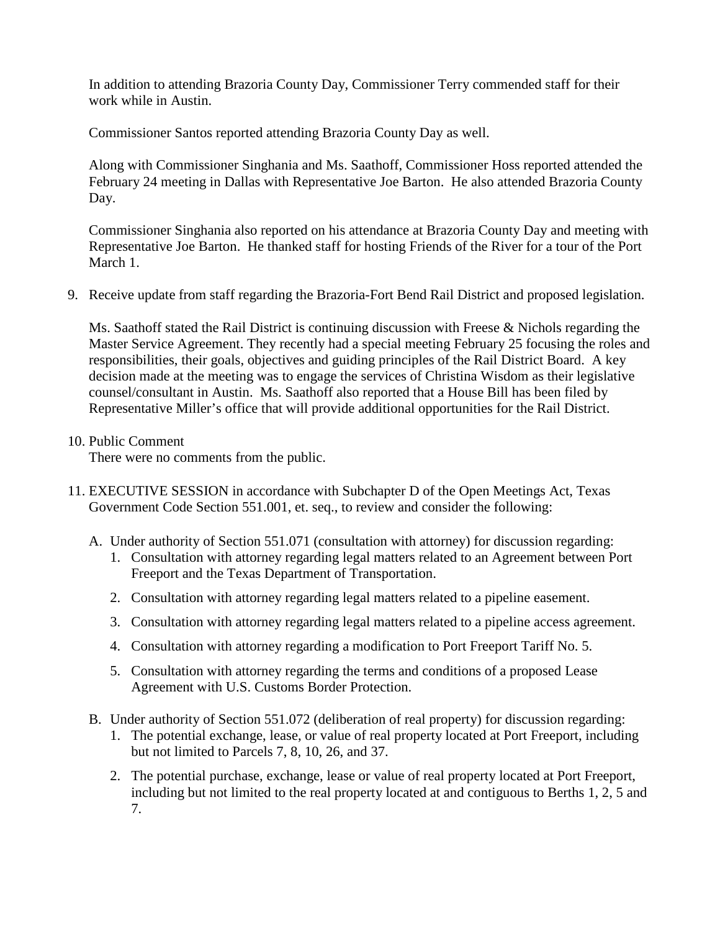In addition to attending Brazoria County Day, Commissioner Terry commended staff for their work while in Austin.

Commissioner Santos reported attending Brazoria County Day as well.

Along with Commissioner Singhania and Ms. Saathoff, Commissioner Hoss reported attended the February 24 meeting in Dallas with Representative Joe Barton. He also attended Brazoria County Day.

Commissioner Singhania also reported on his attendance at Brazoria County Day and meeting with Representative Joe Barton. He thanked staff for hosting Friends of the River for a tour of the Port March 1.

9. Receive update from staff regarding the Brazoria-Fort Bend Rail District and proposed legislation.

Ms. Saathoff stated the Rail District is continuing discussion with Freese & Nichols regarding the Master Service Agreement. They recently had a special meeting February 25 focusing the roles and responsibilities, their goals, objectives and guiding principles of the Rail District Board. A key decision made at the meeting was to engage the services of Christina Wisdom as their legislative counsel/consultant in Austin. Ms. Saathoff also reported that a House Bill has been filed by Representative Miller's office that will provide additional opportunities for the Rail District.

10. Public Comment

There were no comments from the public.

- 11. EXECUTIVE SESSION in accordance with Subchapter D of the Open Meetings Act, Texas Government Code Section 551.001, et. seq., to review and consider the following:
	- A. Under authority of Section 551.071 (consultation with attorney) for discussion regarding:
		- 1. Consultation with attorney regarding legal matters related to an Agreement between Port Freeport and the Texas Department of Transportation.
		- 2. Consultation with attorney regarding legal matters related to a pipeline easement.
		- 3. Consultation with attorney regarding legal matters related to a pipeline access agreement.
		- 4. Consultation with attorney regarding a modification to Port Freeport Tariff No. 5.
		- 5. Consultation with attorney regarding the terms and conditions of a proposed Lease Agreement with U.S. Customs Border Protection.
	- B. Under authority of Section 551.072 (deliberation of real property) for discussion regarding:
		- 1. The potential exchange, lease, or value of real property located at Port Freeport, including but not limited to Parcels 7, 8, 10, 26, and 37.
		- 2. The potential purchase, exchange, lease or value of real property located at Port Freeport, including but not limited to the real property located at and contiguous to Berths 1, 2, 5 and 7.